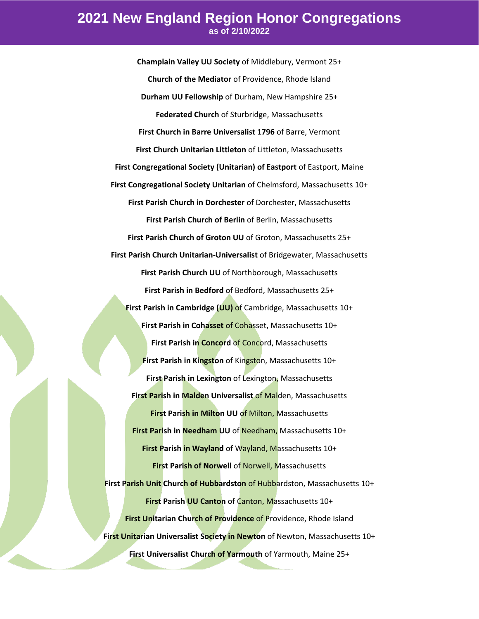## **2021 New England Region Honor Congregations as of 2/10/2022**

**Champlain Valley UU Society** of Middlebury, Vermont 25+ **Church of the Mediator** of Providence, Rhode Island **Durham UU Fellowship** of Durham, New Hampshire 25+ **Federated Church** of Sturbridge, Massachusetts **First Church in Barre Universalist 1796** of Barre, Vermont **First Church Unitarian Littleton** of Littleton, Massachusetts **First Congregational Society (Unitarian) of Eastport** of Eastport, Maine **First Congregational Society Unitarian** of Chelmsford, Massachusetts 10+ **First Parish Church in Dorchester** of Dorchester, Massachusetts **First Parish Church of Berlin** of Berlin, Massachusetts **First Parish Church of Groton UU** of Groton, Massachusetts 25+ **First Parish Church Unitarian-Universalist** of Bridgewater, Massachusetts **First Parish Church UU** of Northborough, Massachusetts **First Parish in Bedford** of Bedford, Massachusetts 25+ **First Parish in Cambridge (UU)** of Cambridge, Massachusetts 10+ **First Parish in Cohasset** of Cohasset, Massachusetts 10+ **First Parish in Concord** of Concord, Massachusetts **First Parish in Kingston** of Kingston, Massachusetts 10+ **First Parish in Lexington** of Lexington, Massachusetts **First Parish in Malden Universalist** of Malden, Massachusetts **First Parish in Milton UU of Milton, Massachusetts First Parish in Needham UU** of Needham, Massachusetts 10+ **First Parish in Wayland** of Wayland, Massachusetts 10+ **First Parish of Norwell** of Norwell, Massachusetts **First Parish Unit Church of Hubbardston** of Hubbardston, Massachusetts 10+ **First Parish UU Canton** of Canton, Massachusetts 10+ **First Unitarian Church of Providence** of Providence, Rhode Island **First Unitarian Universalist Society in Newton** of Newton, Massachusetts 10+ **First Universalist Church of Yarmouth** of Yarmouth, Maine 25+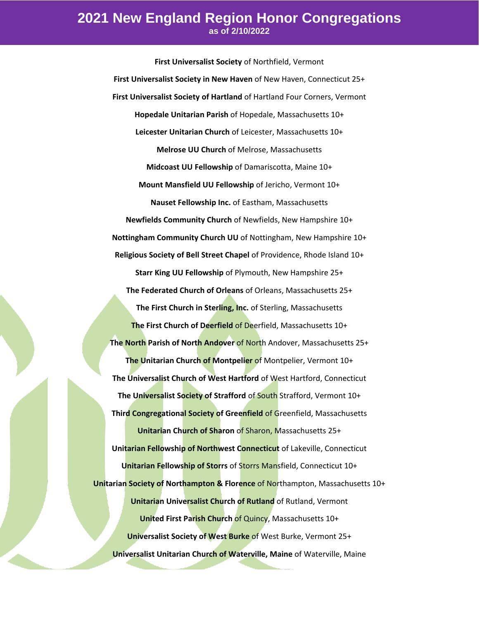## **2021 New England Region Honor Congregations as of 2/10/2022**

**First Universalist Society** of Northfield, Vermont **First Universalist Society in New Haven** of New Haven, Connecticut 25+ **First Universalist Society of Hartland** of Hartland Four Corners, Vermont **Hopedale Unitarian Parish** of Hopedale, Massachusetts 10+ **Leicester Unitarian Church** of Leicester, Massachusetts 10+ **Melrose UU Church** of Melrose, Massachusetts **Midcoast UU Fellowship** of Damariscotta, Maine 10+ **Mount Mansfield UU Fellowship** of Jericho, Vermont 10+ **Nauset Fellowship Inc.** of Eastham, Massachusetts **Newfields Community Church** of Newfields, New Hampshire 10+ **Nottingham Community Church UU** of Nottingham, New Hampshire 10+ **Religious Society of Bell Street Chapel** of Providence, Rhode Island 10+ **Starr King UU Fellowship** of Plymouth, New Hampshire 25+ **The Federated Church of Orleans** of Orleans, Massachusetts 25+ **The First Church in Sterling, Inc.** of Sterling, Massachusetts **The First Church of Deerfield** of Deerfield, Massachusetts 10+ **The North Parish of North Andover** of North Andover, Massachusetts 25+ **The Unitarian Church of Montpelier** of Montpelier, Vermont 10+ **The Universalist Church of West Hartford** of West Hartford, Connecticut **The Universalist Society of Strafford** of South Strafford, Vermont 10+ **Third Congregational Society of Greenfield** of Greenfield, Massachusetts **Unitarian Church of Sharon** of Sharon, Massachusetts 25+ **Unitarian Fellowship of Northwest Connecticut** of Lakeville, Connecticut **Unitarian Fellowship of Storrs** of Storrs Mansfield, Connecticut 10+ **Unitarian Society of Northampton & Florence** of Northampton, Massachusetts 10+ **Unitarian Universalist Church of Rutland** of Rutland, Vermont **United First Parish Church** of Quincy, Massachusetts 10+ **Universalist Society of West Burke** of West Burke, Vermont 25+ **Universalist Unitarian Church of Waterville, Maine** of Waterville, Maine